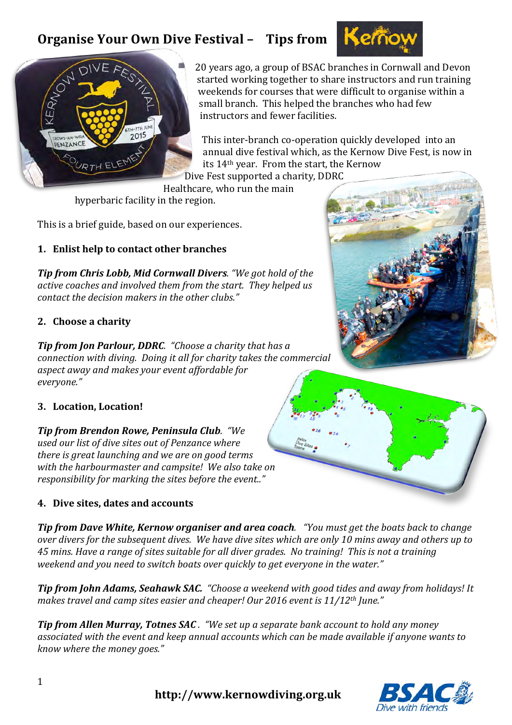



20 years ago, a group of BSAC branches in Cornwall and Devon started working together to share instructors and run training weekends for courses that were difficult to organise within a small branch. This helped the branches who had few instructors and fewer facilities.

This inter-branch co-operation quickly developed into an annual dive festival which, as the Kernow Dive Fest, is now in its 14<sup>th</sup> year. From the start, the Kernow Dive Fest supported a charity, DDRC

Healthcare, who run the main

hyperbaric facility in the region.

This is a brief guide, based on our experiences.

## **1. Enlist help to contact other branches**

*Tip from Chris Lobb, Mid Cornwall Divers.* "We got hold of the active coaches and involved them from the start. They helped us *contact the decision makers in the other clubs."* 

#### **2. Choose a charity**

*Tip from Jon Parlour, DDRC.* "Choose a charity that has a *connection with diving. Doing it all for charity takes the commercial* aspect away and makes your event affordable for *everyone."*

### **3. Location, Location!**

*Tip from Brendon Rowe, Peninsula Club. "We* used our list of dive sites out of Penzance where *there is great launching and we are on good terms* with the harbourmaster and campsite! We also take on *responsibility for marking the sites before the event.."* 

### **4.** Dive sites, dates and accounts

**Tip from Dave White, Kernow organiser and area coach**. "You must get the boats back to change *over divers for the subsequent dives. We have dive sites which are only 10 mins away and others up to 45* mins. Have a range of sites suitable for all diver grades. No training! This is not a training weekend and you need to switch boats over quickly to get everyone in the water."

**Tip from John Adams, Seahawk SAC.** "Choose a weekend with good tides and away from holidays! It *makes travel and camp sites easier and cheaper! Our 2016 event is 11/12<sup>th</sup> June."* 

*Tip from Allen Murray, Totnes SAC.* "We set up a separate bank account to hold any money associated with the event and keep annual accounts which can be made available if anyone wants to *know where the money goes."* 

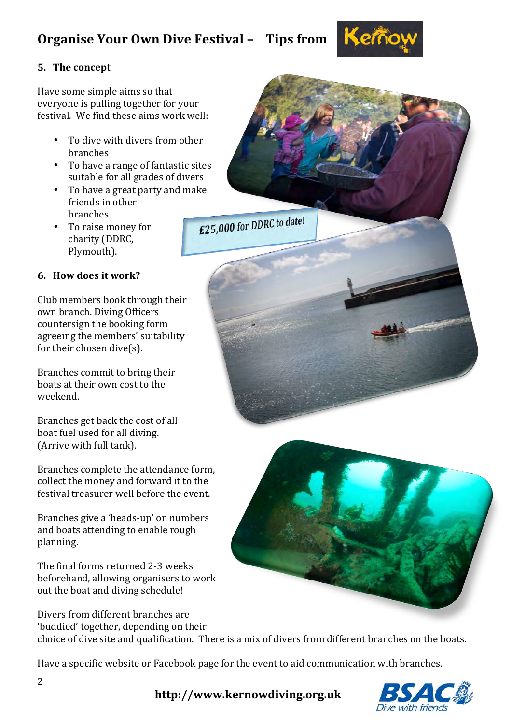

#### **5.** The concept

Have some simple aims so that everyone is pulling together for your festival. We find these aims work well:

- To dive with divers from other branches
- To have a range of fantastic sites suitable for all grades of divers
- To have a great party and make friends in other branches £25,000 for DDRC to date!
- To raise money for charity (DDRC, Plymouth).

#### **6. How does it work?**

Club members book through their own branch. Diving Officers countersign the booking form agreeing the members' suitability for their chosen dive( $s$ ).

Branches commit to bring their boats at their own cost to the weekend.

Branches get back the cost of all boat fuel used for all diving. (Arrive with full tank).

Branches complete the attendance form, collect the money and forward it to the festival treasurer well before the event.

Branches give a 'heads-up' on numbers and boats attending to enable rough planning.

The final forms returned 2-3 weeks beforehand, allowing organisers to work out the boat and diving schedule!

Divers from different branches are 'buddied' together, depending on their choice of dive site and qualification. There is a mix of divers from different branches on the boats.

Have a specific website or Facebook page for the event to aid communication with branches.



**http://www.kernowdiving.org.uk**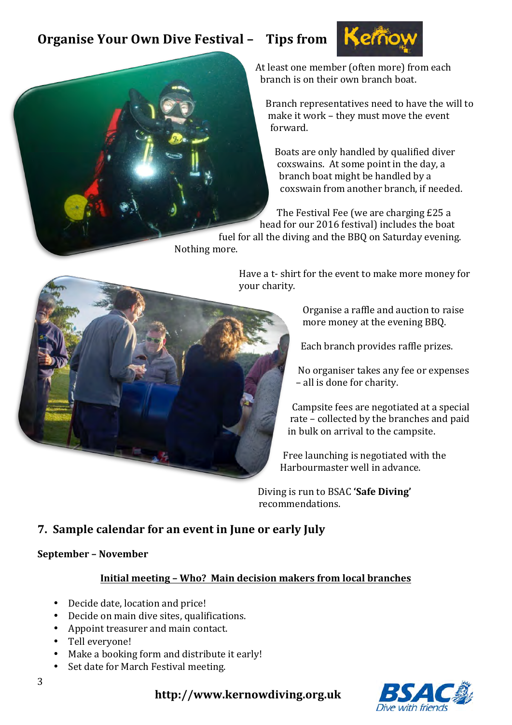

At least one member (often more) from each branch is on their own branch boat.

Branch representatives need to have the will to make it work - they must move the event forward.

Boats are only handled by qualified diver coxswains. At some point in the day, a branch boat might be handled by a coxswain from another branch, if needed.

The Festival Fee (we are charging £25 a head for our 2016 festival) includes the boat

fuel for all the diving and the BBQ on Saturday evening. Nothing more.



Have a t- shirt for the event to make more money for your charity.

> Organise a raffle and auction to raise more money at the evening BBQ.

Each branch provides raffle prizes.

No organiser takes any fee or expenses - all is done for charity.

Campsite fees are negotiated at a special rate – collected by the branches and paid in bulk on arrival to the campsite.

Free launching is negotiated with the Harbourmaster well in advance.

Diving is run to BSAC 'Safe Diving' recommendations. 

## **7.** Sample calendar for an event in June or early July

#### **September – November**

#### **Initial meeting – Who? Main decision makers from local branches**

- Decide date, location and price!
- Decide on main dive sites, qualifications.
- Appoint treasurer and main contact.
- Tell everyone!
- Make a booking form and distribute it early!
- Set date for March Festival meeting.



**http://www.kernowdiving.org.uk**